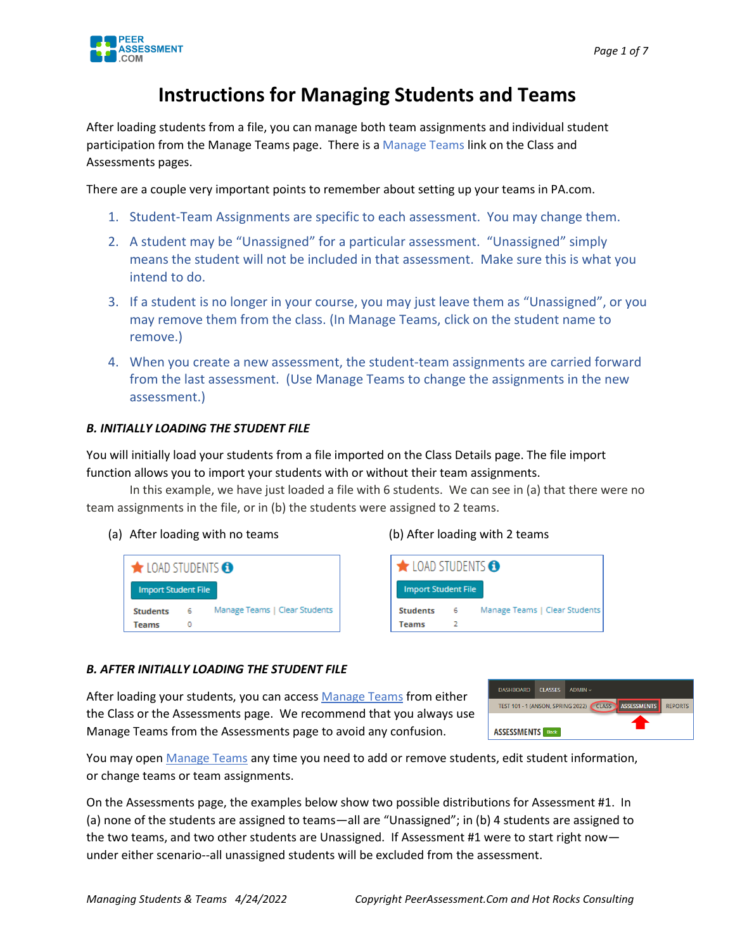

## **Instructions for Managing Students and Teams**

After loading students from a file, you can manage both team assignments and individual student participation from the Manage Teams page. There is a Manage Teams link on the Class and Assessments pages.

There are a couple very important points to remember about setting up your teams in PA.com.

- 1. Student-Team Assignments are specific to each assessment. You may change them.
- 2. A student may be "Unassigned" for a particular assessment. "Unassigned" simply means the student will not be included in that assessment. Make sure this is what you intend to do.
- 3. If a student is no longer in your course, you may just leave them as "Unassigned", or you may remove them from the class. (In Manage Teams, click on the student name to remove.)
- 4. When you create a new assessment, the student-team assignments are carried forward from the last assessment. (Use Manage Teams to change the assignments in the new assessment.)

#### *B. INITIALLY LOADING THE STUDENT FILE*

You will initially load your students from a file imported on the Class Details page. The file import function allows you to import your students with or without their team assignments.

In this example, we have just loaded a file with 6 students. We can see in (a) that there were no team assignments in the file, or in (b) the students were assigned to 2 teams.

(a) After loading with no teams (b) After loading with 2 teams





#### *B. AFTER INITIALLY LOADING THE STUDENT FILE*

After loading your students, you can access Manage Teams from either the Class or the Assessments page. We recommend that you always use Manage Teams from the Assessments page to avoid any confusion.

| <b>DASHBOARD</b>                                                                                 | <b>CLASSES</b> | $ADMIN \vee$ |  |  |
|--------------------------------------------------------------------------------------------------|----------------|--------------|--|--|
| <b>ASSESSMENTS</b><br><b>CLASS</b><br><b>TEST 101 - 1 (ANSON, SPRING 2022)</b><br><b>REPORTS</b> |                |              |  |  |
| <b>ASSESSMENTS</b> Back                                                                          |                |              |  |  |

You may open Manage Teams any time you need to add or remove students, edit student information, or change teams or team assignments.

On the Assessments page, the examples below show two possible distributions for Assessment #1. In (a) none of the students are assigned to teams—all are "Unassigned"; in (b) 4 students are assigned to the two teams, and two other students are Unassigned. If Assessment #1 were to start right nowunder either scenario--all unassigned students will be excluded from the assessment.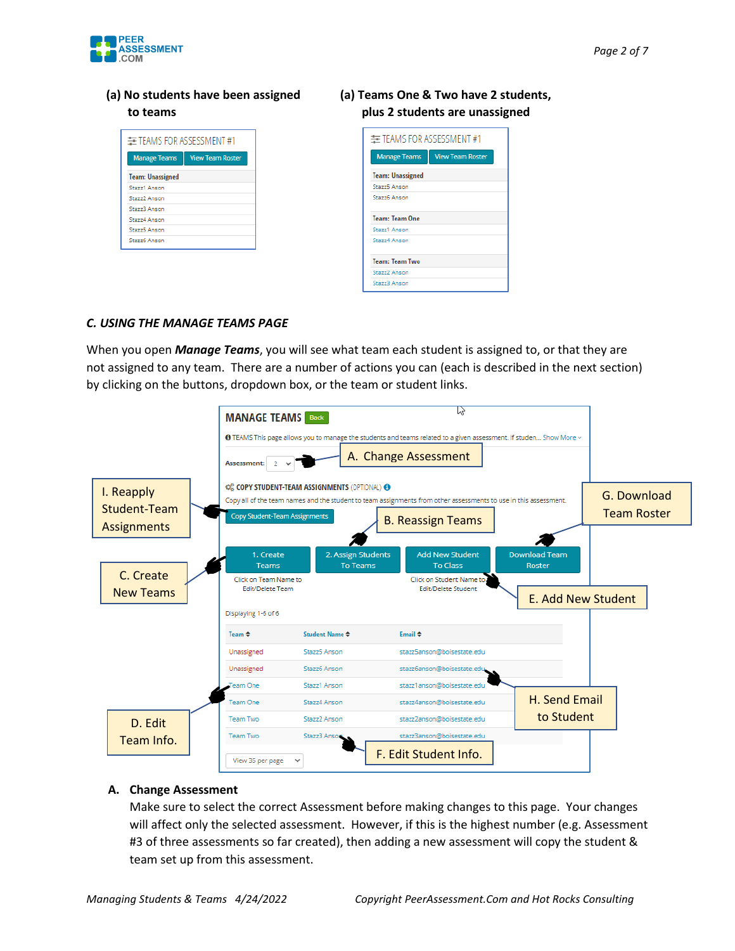

### **(a) No students have been assigned to teams**

| 丰 TEAMS FOR ASSESSMENT #1 |                         |
|---------------------------|-------------------------|
| <b>Manage Teams</b>       | <b>View Team Roster</b> |
| <b>Team: Unassigned</b>   |                         |
| Stazz1 Anson              |                         |
| Stazz2 Anson              |                         |
| Stazz3 Anson              |                         |
| Stazz4 Anson              |                         |
| Stazz5 Anson              |                         |
| Stazz6 Anson              |                         |

#### **(a) Teams One & Two have 2 students, plus 2 students are unassigned**

| 丰 TEAMS FOR ASSESSMENT #1 |                         |
|---------------------------|-------------------------|
| <b>Manage Teams</b>       | <b>View Team Roster</b> |
| <b>Team: Unassigned</b>   |                         |
| Stazz5 Anson              |                         |
| Stazz6 Anson              |                         |
| <b>Team: Team One</b>     |                         |
| Stazz1 Anson              |                         |
| Stazz4 Anson              |                         |
| <b>Team: Team Two</b>     |                         |
| Stazz2 Anson              |                         |
| Stazz3 Anson              |                         |

#### *C. USING THE MANAGE TEAMS PAGE*

When you open *Manage Teams*, you will see what team each student is assigned to, or that they are not assigned to any team. There are a number of actions you can (each is described in the next section) by clicking on the buttons, dropdown box, or the team or student links.



#### **A. Change Asses[sm](https://pngimg.com/download/33232)ent**

Make sure to [sele](https://pngimg.com/download/33232)ct the correct Asses[sm](https://pngimg.com/download/33232)ent before making changes to this page. Your changes will affect only the selected assessm[ent](https://pngimg.com/download/33232). However, if this is the highest number (e.g. Assessment #3 of three assessments so far create[d\),](https://pngimg.com/download/33232) then adding a new assessment will copy the student & team set up from this assessment.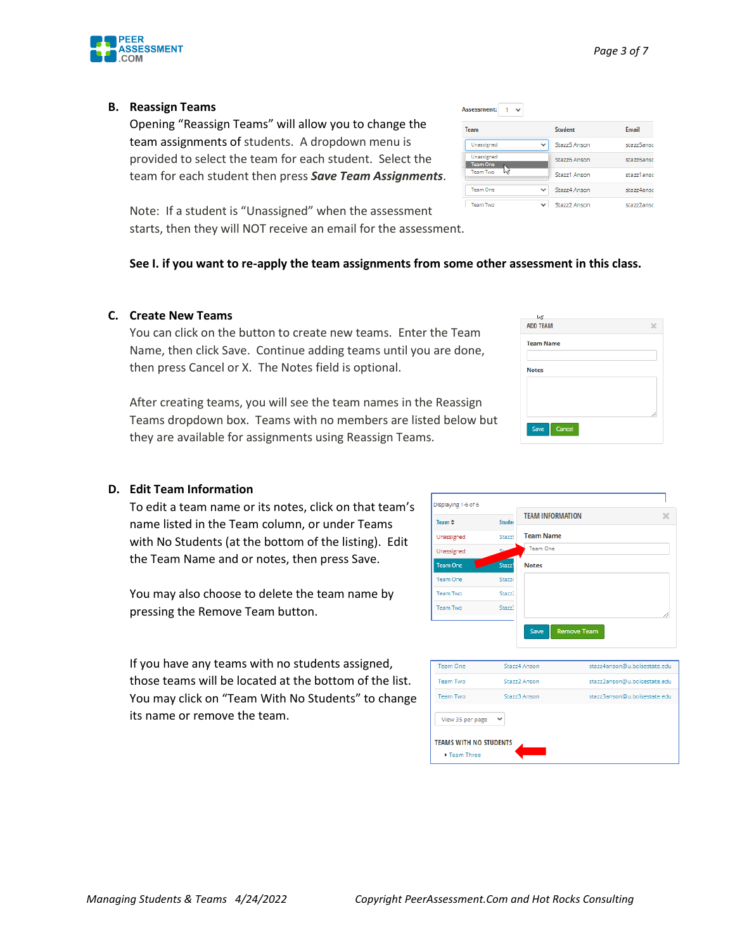#### **B. Reassign Teams**

Opening "Reassign Teams" will allow you to change the team assignments of students. A dropdown menu is provided to select the team for each student. Select the team for each student then press *Save Team Assignments*.

Note: If a student is "Unassigned" when the asses[sm](https://pngimg.com/download/33232)ent starts, then they will NOT receive an email for the [ass](https://pngimg.com/download/33232)essment.

#### **See I. if you want to re-apply the team assignmen[ts f](https://pngimg.com/download/33232)rom some other assessment in this class.**

#### **C. Create New Teams**

You can click on the button to create new teams. [Ent](https://pngimg.com/download/33232)er the Team Name, then click Save. Continue adding teams until you are done, then press Cancel or X. The Notes field is optional.

After creating teams, you will see the team names in the Reassign Teams dropdown box. Teams with no members are listed below but they are available for assignments using Reassign Teams.

#### **D. Edit Team Information**

To edit a team name or its notes, click on that team's name listed in the Team column, or under Teams with No Students (at the bottom of the listing). Edit the Team Name and or notes, then press Save.

You may also choose to delete the team name by pressing the Remove Team button.

If you have any teams with no students assigned, those teams will be located at the bottom of the list. You may click on "Team With No Students" to change its name or remove the team.



| M                |  |
|------------------|--|
| <b>ADD TEAM</b>  |  |
| <b>Team Name</b> |  |
| <b>Notes</b>     |  |
|                  |  |
|                  |  |



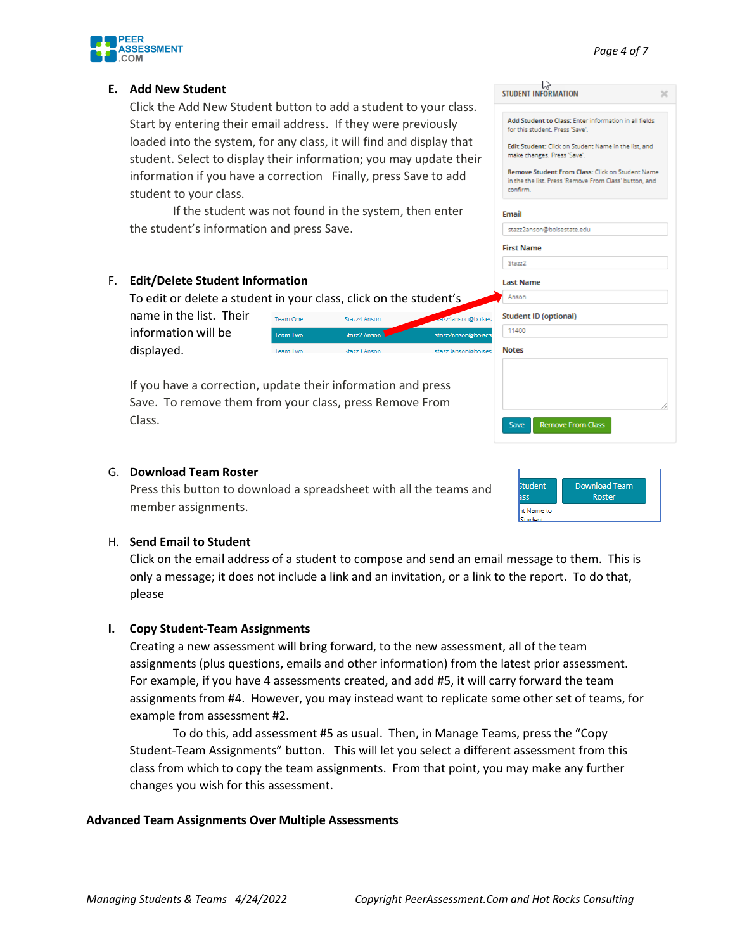

#### **E. Add New Student**

Click the Add New Student button to add a student to your class. Start by entering their email address. If they were previously loaded into the system, for any class, it will find and display that student. Select to display their information; you may update th information if you have a correction Finally, press Save to add student to your class.

If the student was not found in the system, then enter the student's information and press Save.

#### F. **Edit/Delete Student Information**

To edit or delete a student in your class, click on the student's name in the list. Their Team One Stazz4 Anson information will be Team Two Stazz2 Anson

displayed.

If you have a correction, update their information and press Save. To remove them from your class, press Remove From Class.

Team Two

# G. **Download Team Roster**

Press this button to download a spreadsheet with all the teams and member assignments.

| <b>Student</b> | <b>Download Team</b> |
|----------------|----------------------|
| つつに            | Roster               |

#### H. **Send Email to Student**

Click on the email address of a student to compose and send an email message to them. This is only a message; it does not include a link and an invitation, or a link to the report. To do that, please

StazzR Ancon

#### **I. Copy Student-Team Assignments**

Creating a new assessment will bring forward, to the new assessment, all of the team assignments (plus questions, emails and other information) from the latest prior assessment. For example, if you have 4 assessments created, and add #5, it will carry forward the team assignments from #4. However, you may instead want to replicate some other set of teams, for example from assessment #2.

To do this, add assessment #5 as usual. Then, in Manage Teams, press the "Copy Student-Team Assignments" button. This will let you select a different assessment from this class from which to copy the team assignments. From that point, you may make any further changes you wish for this assessment.

#### **Advanced Team Assignments Over Multiple Assessments**

|            | for this student. Press 'Save'.                                                                                        |
|------------|------------------------------------------------------------------------------------------------------------------------|
| at<br>heir | Edit Student: Click on Student Name in the list, and<br>make changes. Press 'Save'.                                    |
| ŀ          | Remove Student From Class: Click on Student Name<br>in the the list, Press 'Remove From Class' button, and<br>confirm. |
|            | <b>Fmail</b>                                                                                                           |
|            | stazz2anson@boisestate.edu                                                                                             |
|            | <b>First Name</b>                                                                                                      |
|            | Stazz <sub>2</sub>                                                                                                     |
|            | <b>Last Name</b>                                                                                                       |
|            | Anson                                                                                                                  |
| on@boisest | <b>Student ID (optional)</b>                                                                                           |
| on@boisest | 11400                                                                                                                  |
| nn@hoisest | <b>Notes</b>                                                                                                           |
|            |                                                                                                                        |
|            |                                                                                                                        |
|            |                                                                                                                        |
|            |                                                                                                                        |
|            | <b>Remove From Class</b><br>Save                                                                                       |

Add Student to Class: Enter information in all fields

STUDENT INFORMATION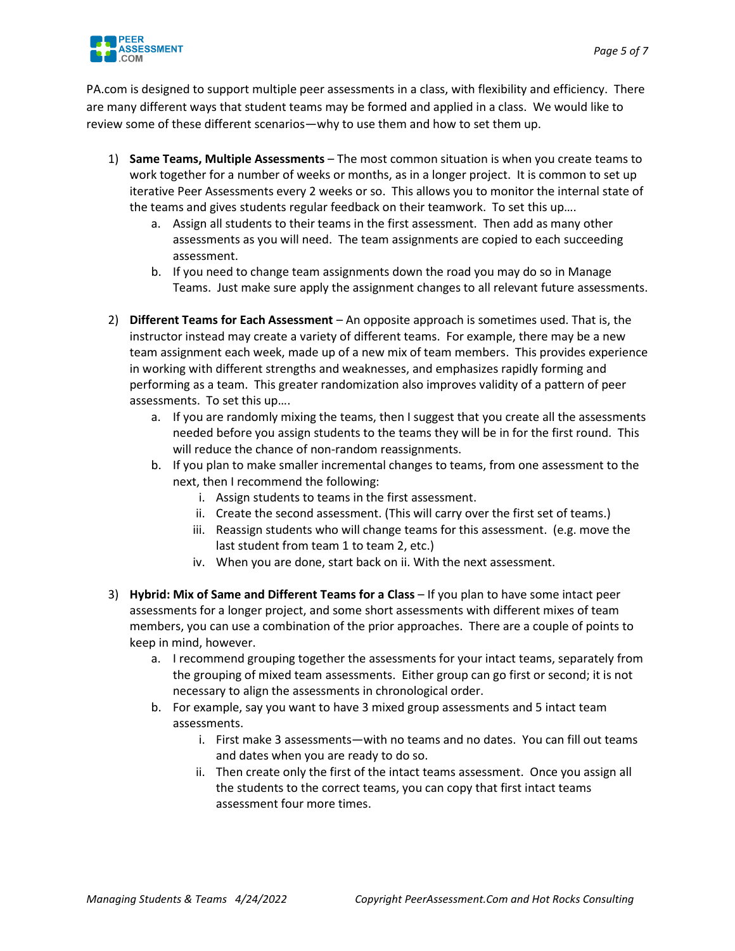

PA.com is designed to support multiple peer assessments in a class, with flexibility and efficiency. There are many different ways that student teams may be formed and applied in a class. We would like to review some of these different scenarios—why to use them and how to set them up.

- 1) **Same Teams, Multiple Assessments** The most common situation is when you create teams to work together for a number of weeks or months, as in a longer project. It is common to set up iterative Peer Assessments every 2 weeks or so. This allows you to monitor the internal state of the teams and gives students regular feedback on their teamwork. To set this up….
	- a. Assign all students to their teams in the first assessment. Then add as many other assessments as you will need. The team assignments are copied to each succeeding assessment.
	- b. If you need to change team assignments down the road you may do so in Manage Teams. Just make sure apply the assignment changes to all relevant future assessments.
- 2) **Different Teams for Each Assessment** An opposite approach is sometimes used. That is, the instructor instead may create a variety of different teams. For example, there may be a new team assignment each week, made up of a new mix of team members. This provides experience in working with different strengths and weaknesses, and emphasizes rapidly forming and performing as a team. This greater randomization also improves validity of a pattern of peer assessments. To set this up….
	- a. If you are randomly mixing the teams, then I suggest that you create all the assessments needed before you assign students to the teams they will be in for the first round. This will reduce the chance of non-random reassignments.
	- b. If you plan to make smaller incremental changes to teams, from one assessment to the next, then I recommend the following:
		- i. Assign students to teams in the first assessment.
		- ii. Create the second assessment. (This will carry over the first set of teams.)
		- iii. Reassign students who will change teams for this assessment. (e.g. move the last student from team 1 to team 2, etc.)
		- iv. When you are done, start back on ii. With the next assessment.
- 3) **Hybrid: Mix of Same and Different Teams for a Class**  If you plan to have some intact peer assessments for a longer project, and some short assessments with different mixes of team members, you can use a combination of the prior approaches. There are a couple of points to keep in mind, however.
	- a. I recommend grouping together the assessments for your intact teams, separately from the grouping of mixed team assessments. Either group can go first or second; it is not necessary to align the assessments in chronological order.
	- b. For example, say you want to have 3 mixed group assessments and 5 intact team assessments.
		- i. First make 3 assessments—with no teams and no dates. You can fill out teams and dates when you are ready to do so.
		- ii. Then create only the first of the intact teams assessment. Once you assign all the students to the correct teams, you can copy that first intact teams assessment four more times.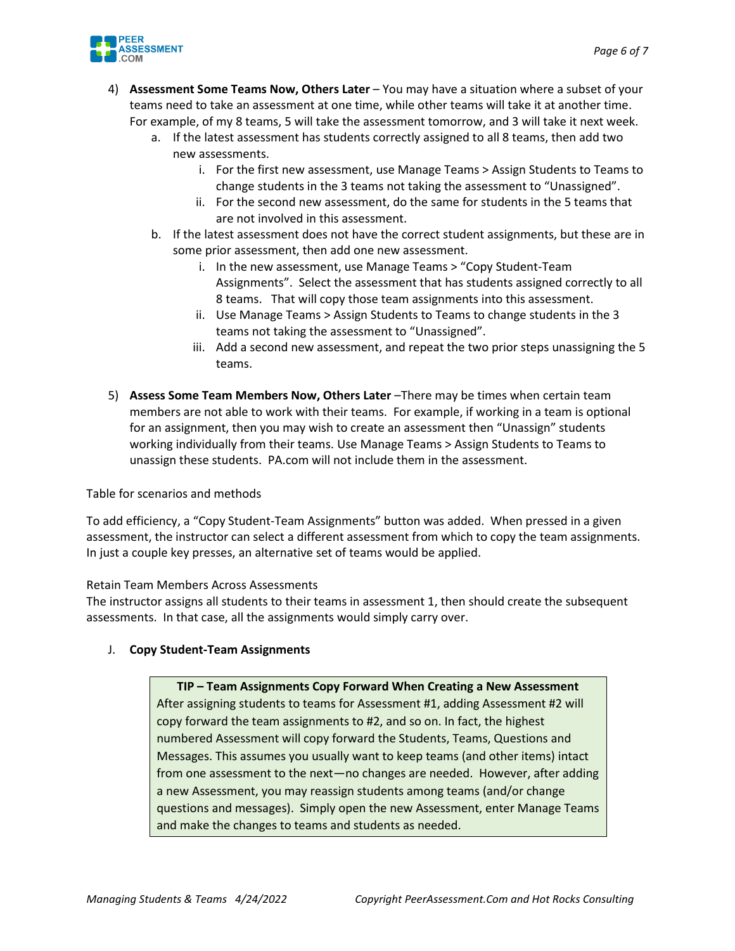

- 4) **Assessment Some Teams Now, Others Later** You may have a situation where a subset of your teams need to take an assessment at one time, while other teams will take it at another time. For example, of my 8 teams, 5 will take the assessment tomorrow, and 3 will take it next week.
	- a. If the latest assessment has students correctly assigned to all 8 teams, then add two new assessments.
		- i. For the first new assessment, use Manage Teams > Assign Students to Teams to change students in the 3 teams not taking the assessment to "Unassigned".
		- ii. For the second new assessment, do the same for students in the 5 teams that are not involved in this assessment.
	- b. If the latest assessment does not have the correct student assignments, but these are in some prior assessment, then add one new assessment.
		- i. In the new assessment, use Manage Teams > "Copy Student-Team Assignments". Select the assessment that has students assigned correctly to all 8 teams. That will copy those team assignments into this assessment.
		- ii. Use Manage Teams > Assign Students to Teams to change students in the 3 teams not taking the assessment to "Unassigned".
		- iii. Add a second new assessment, and repeat the two prior steps unassigning the 5 teams.
- 5) **Assess Some Team Members Now, Others Later** –There may be times when certain team members are not able to work with their teams. For example, if working in a team is optional for an assignment, then you may wish to create an assessment then "Unassign" students working individually from their teams. Use Manage Teams > Assign Students to Teams to unassign these students. PA.com will not include them in the assessment.

Table for scenarios and methods

To add efficiency, a "Copy Student-Team Assignments" button was added. When pressed in a given assessment, the instructor can select a different assessment from which to copy the team assignments. In just a couple key presses, an alternative set of teams would be applied.

Retain Team Members Across Assessments

The instructor assigns all students to their teams in assessment 1, then should create the subsequent assessments. In that case, all the assignments would simply carry over.

#### J. **Copy Student-Team Assignments**

**TIP – Team Assignments Copy Forward When Creating a New Assessment** After assigning students to teams for Assessment #1, adding Assessment #2 will copy forward the team assignments to #2, and so on. In fact, the highest numbered Assessment will copy forward the Students, Teams, Questions and Messages. This assumes you usually want to keep teams (and other items) intact from one assessment to the next—no changes are needed. However, after adding a new Assessment, you may reassign students among teams (and/or change questions and messages). Simply open the new Assessment, enter Manage Teams and make the changes to teams and students as needed.